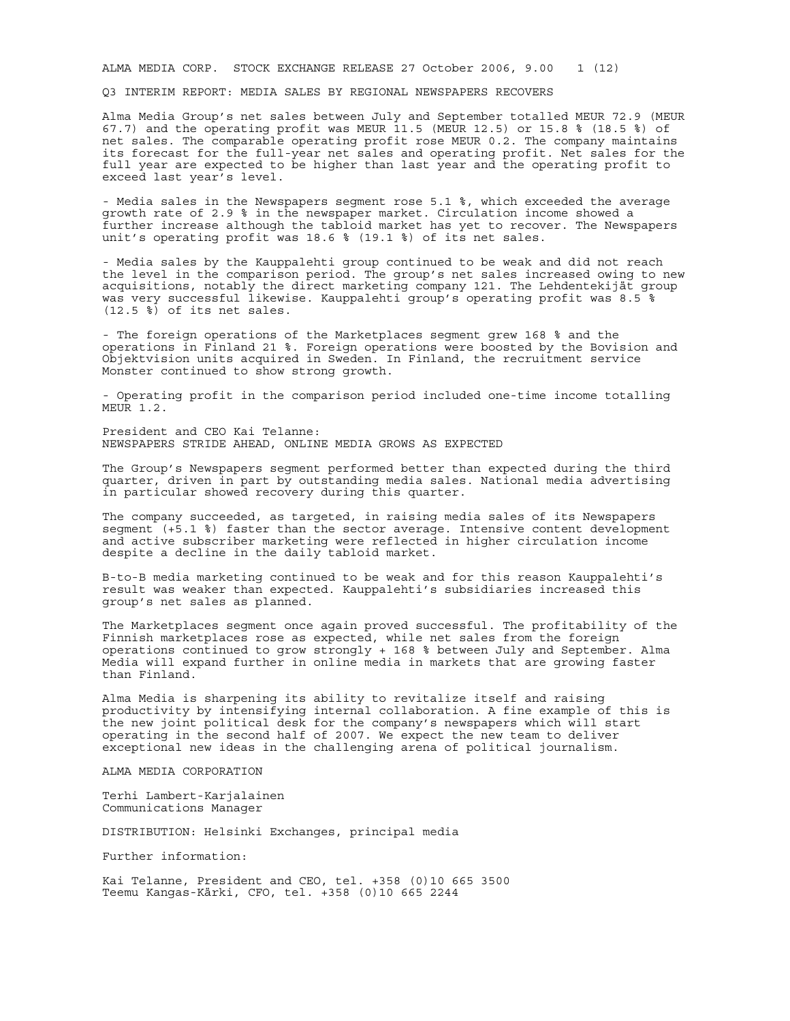ALMA MEDIA CORP. STOCK EXCHANGE RELEASE 27 October 2006, 9.00 1 (12)

Q3 INTERIM REPORT: MEDIA SALES BY REGIONAL NEWSPAPERS RECOVERS

Alma Media Group's net sales between July and September totalled MEUR 72.9 (MEUR 67.7) and the operating profit was MEUR 11.5 (MEUR 12.5) or 15.8 % (18.5 %) of net sales. The comparable operating profit rose MEUR 0.2. The company maintains its forecast for the full-year net sales and operating profit. Net sales for the full year are expected to be higher than last year and the operating profit to exceed last year's level.

- Media sales in the Newspapers segment rose 5.1 %, which exceeded the average growth rate of 2.9 % in the newspaper market. Circulation income showed a further increase although the tabloid market has yet to recover. The Newspapers unit's operating profit was 18.6 % (19.1 %) of its net sales.

- Media sales by the Kauppalehti group continued to be weak and did not reach the level in the comparison period. The group's net sales increased owing to new acquisitions, notably the direct marketing company 121. The Lehdentekijät group was very successful likewise. Kauppalehti group's operating profit was 8.5 %  $(12.5 \, \text{%)}$  of its net sales.

- The foreign operations of the Marketplaces segment grew 168 % and the operations in Finland 21 %. Foreign operations were boosted by the Bovision and Objektvision units acquired in Sweden. In Finland, the recruitment service Monster continued to show strong growth.

- Operating profit in the comparison period included one-time income totalling MEUR 1.2.

President and CEO Kai Telanne: NEWSPAPERS STRIDE AHEAD, ONLINE MEDIA GROWS AS EXPECTED

The Group's Newspapers segment performed better than expected during the third quarter, driven in part by outstanding media sales. National media advertising in particular showed recovery during this quarter.

The company succeeded, as targeted, in raising media sales of its Newspapers segment (+5.1 %) faster than the sector average. Intensive content development and active subscriber marketing were reflected in higher circulation income despite a decline in the daily tabloid market.

B-to-B media marketing continued to be weak and for this reason Kauppalehti's result was weaker than expected. Kauppalehti's subsidiaries increased this group's net sales as planned.

The Marketplaces segment once again proved successful. The profitability of the Finnish marketplaces rose as expected, while net sales from the foreign operations continued to grow strongly + 168 % between July and September. Alma Media will expand further in online media in markets that are growing faster than Finland.

Alma Media is sharpening its ability to revitalize itself and raising productivity by intensifying internal collaboration. A fine example of this is the new joint political desk for the company's newspapers which will start operating in the second half of 2007. We expect the new team to deliver exceptional new ideas in the challenging arena of political journalism.

ALMA MEDIA CORPORATION

Terhi Lambert-Karjalainen Communications Manager

DISTRIBUTION: Helsinki Exchanges, principal media

Further information:

Kai Telanne, President and CEO, tel. +358 (0)10 665 3500 Teemu Kangas-Kärki, CFO, tel. +358 (0)10 665 2244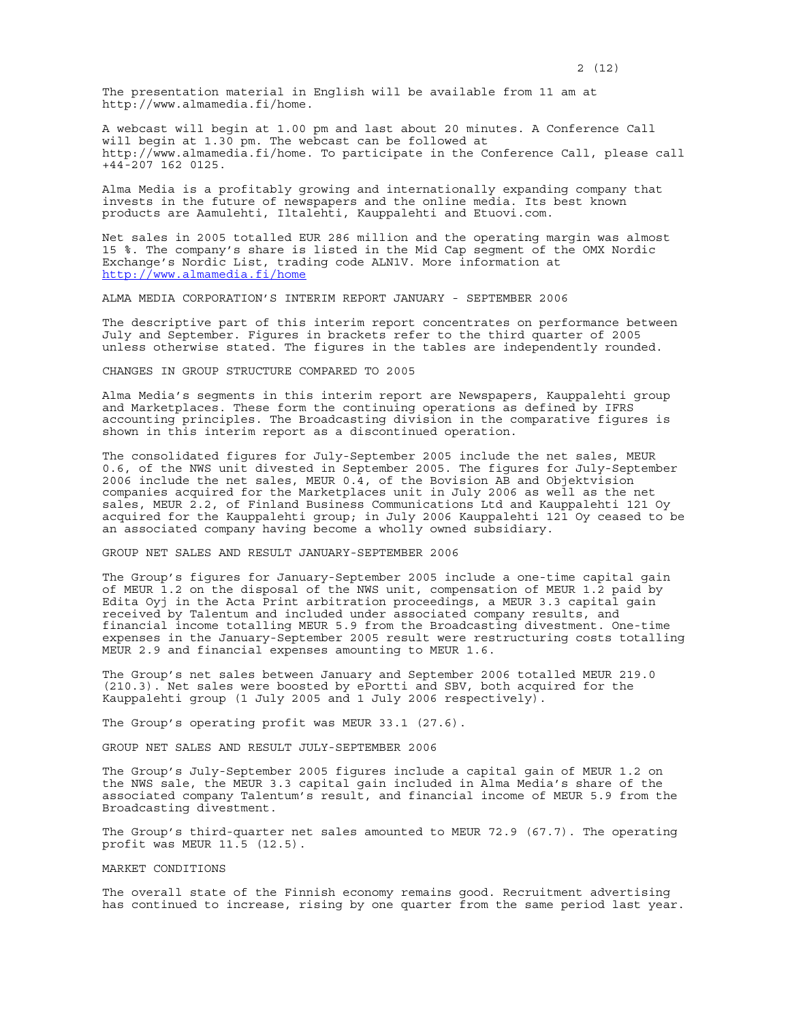The presentation material in English will be available from 11 am at http://www.almamedia.fi/home.

A webcast will begin at 1.00 pm and last about 20 minutes. A Conference Call will begin at 1.30 pm. The webcast can be followed at http://www.almamedia.fi/home. To participate in the Conference Call, please call +44-207 162 0125.

Alma Media is a profitably growing and internationally expanding company that invests in the future of newspapers and the online media. Its best known products are Aamulehti, Iltalehti, Kauppalehti and Etuovi.com.

Net sales in 2005 totalled EUR 286 million and the operating margin was almost 15 %. The company's share is listed in the Mid Cap segment of the OMX Nordic Exchange's Nordic List, trading code ALN1V. More information at http://www.almamedia.fi/home

ALMA MEDIA CORPORATION'S INTERIM REPORT JANUARY - SEPTEMBER 2006

The descriptive part of this interim report concentrates on performance between July and September. Figures in brackets refer to the third quarter of 2005 unless otherwise stated. The figures in the tables are independently rounded.

### CHANGES IN GROUP STRUCTURE COMPARED TO 2005

Alma Media's segments in this interim report are Newspapers, Kauppalehti group and Marketplaces. These form the continuing operations as defined by IFRS accounting principles. The Broadcasting division in the comparative figures is shown in this interim report as a discontinued operation.

The consolidated figures for July-September 2005 include the net sales, MEUR 0.6, of the NWS unit divested in September 2005. The figures for July-September 2006 include the net sales, MEUR  $0.\overline{4}$ , of the Bovision AB and Objektvision companies acquired for the Marketplaces unit in July 2006 as well as the net sales, MEUR 2.2, of Finland Business Communications Ltd and Kauppalehti 121 Oy acquired for the Kauppalehti group; in July 2006 Kauppalehti 121 Oy ceased to be an associated company having become a wholly owned subsidiary.

# GROUP NET SALES AND RESULT JANUARY-SEPTEMBER 2006

The Group's figures for January-September 2005 include a one-time capital gain of MEUR 1.2 on the disposal of the NWS unit, compensation of MEUR 1.2 paid by Edita Oyj in the Acta Print arbitration proceedings, a MEUR 3.3 capital gain received by Talentum and included under associated company results, and financial income totalling MEUR 5.9 from the Broadcasting divestment. One-time expenses in the January-September 2005 result were restructuring costs totalling MEUR 2.9 and financial expenses amounting to MEUR 1.6.

The Group's net sales between January and September 2006 totalled MEUR 219.0 (210.3). Net sales were boosted by ePortti and SBV, both acquired for the Kauppalehti group (1 July 2005 and 1 July 2006 respectively).

The Group's operating profit was MEUR 33.1 (27.6).

GROUP NET SALES AND RESULT JULY-SEPTEMBER 2006

The Group's July-September 2005 figures include a capital gain of MEUR 1.2 on the NWS sale, the MEUR 3.3 capital gain included in Alma Media's share of the associated company Talentum's result, and financial income of MEUR 5.9 from the Broadcasting divestment.

The Group's third-quarter net sales amounted to MEUR 72.9 (67.7). The operating profit was MEUR 11.5 (12.5). Ī,

#### MARKET CONDITIONS

The overall state of the Finnish economy remains good. Recruitment advertising has continued to increase, rising by one quarter from the same period last year.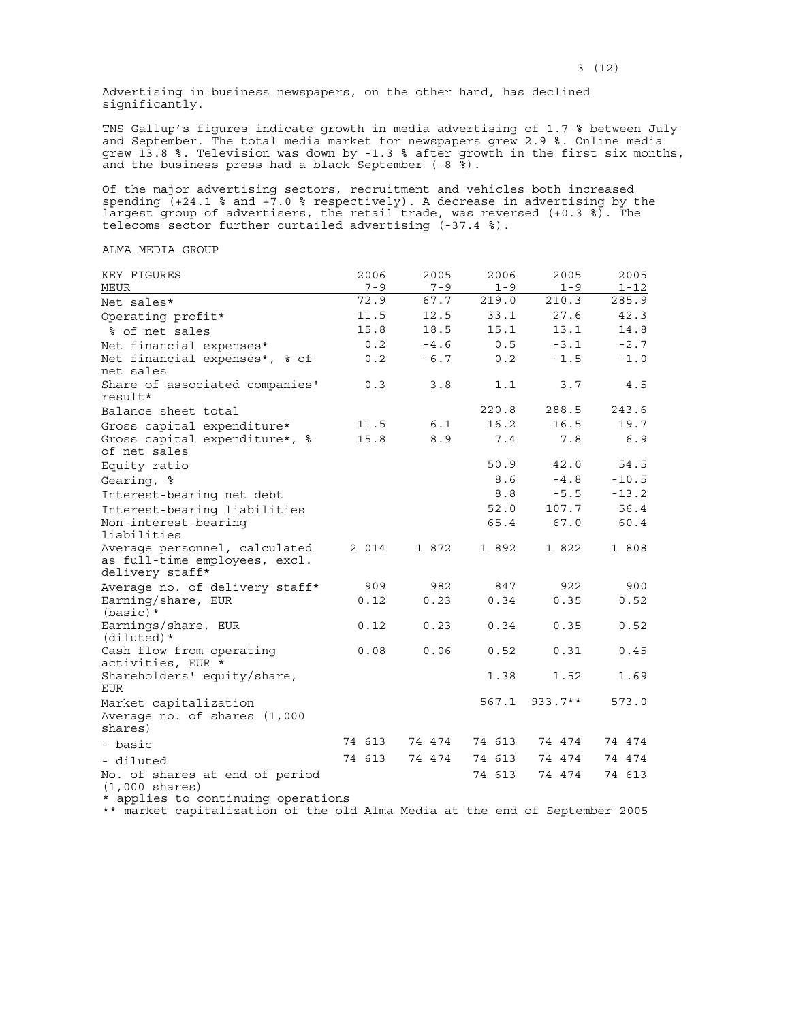Advertising in business newspapers, on the other hand, has declined significantly.

TNS Gallup's figures indicate growth in media advertising of 1.7 % between July and September. The total media market for newspapers grew 2.9 %. Online media grew 13.8 %. Television was down by -1.3 % after growth in the first six months, and the business press had a black September (-8 %).

Of the major advertising sectors, recruitment and vehicles both increased spending  $(+24.1 \t{3}$  and  $+\overline{7}.0 \t{3}$  respectively). A decrease in advertising by the largest group of advertisers, the retail trade, was reversed (+0.3 %). The telecoms sector further curtailed advertising (-37.4 %).

# ALMA MEDIA GROUP

| KEY FIGURES<br><b>MEUR</b>                                                        | 2006<br>$7 - 9$ | 2005<br>$7 - 9$ | 2006<br>$1 - 9$ | 2005<br>$1 - 9$ | 2005<br>$1 - 12$ |
|-----------------------------------------------------------------------------------|-----------------|-----------------|-----------------|-----------------|------------------|
| Net sales*                                                                        | 72.9            | 67.7            | 219.0           | 210.3           | 285.9            |
| Operating profit*                                                                 | 11.5            | 12.5            | 33.1            | 27.6            | 42.3             |
| % of net sales                                                                    | 15.8            | 18.5            | 15.1            | 13.1            | 14.8             |
| Net financial expenses*                                                           | 0.2             | $-4.6$          | 0.5             | $-3.1$          | $-2.7$           |
| Net financial expenses*, % of<br>net sales                                        | 0.2             | $-6.7$          | 0.2             | $-1.5$          | $-1.0$           |
| Share of associated companies'<br>result*                                         | 0.3             | 3.8             | 1.1             | 3.7             | 4.5              |
| Balance sheet total                                                               |                 |                 | 220.8           | 288.5           | 243.6            |
| Gross capital expenditure*                                                        | 11.5            | 6.1             | 16.2            | 16.5            | 19.7             |
| Gross capital expenditure*, %<br>of net sales                                     | 15.8            | 8.9             | 7.4             | 7.8             | 6.9              |
| Equity ratio                                                                      |                 |                 | 50.9            | 42.0            | 54.5             |
| Gearing, %                                                                        |                 |                 | 8.6             | $-4.8$          | $-10.5$          |
| Interest-bearing net debt                                                         |                 |                 | 8.8             | $-5.5$          | $-13.2$          |
| Interest-bearing liabilities                                                      |                 |                 | 52.0            | 107.7           | 56.4             |
| Non-interest-bearing<br>liabilities                                               |                 |                 | 65.4            | 67.0            | 60.4             |
| Average personnel, calculated<br>as full-time employees, excl.<br>delivery staff* | 2 014           | 1 872           | 1 892           | 1 822           | 1 808            |
| Average no. of delivery staff*                                                    | 909             | 982             | 847             | 922             | 900              |
| Earning/share, EUR<br>$(basic)*$                                                  | 0.12            | 0.23            | 0.34            | 0.35            | 0.52             |
| Earnings/share, EUR<br>$(diluted)*$                                               | 0.12            | 0.23            | 0.34            | 0.35            | 0.52             |
| Cash flow from operating<br>activities, EUR *                                     | 0.08            | 0.06            | 0.52            | 0.31            | 0.45             |
| Shareholders' equity/share,<br><b>EUR</b>                                         |                 |                 | 1.38            | 1.52            | 1.69             |
| Market capitalization                                                             |                 |                 | 567.1           | $933.7**$       | 573.0            |
| Average no. of shares (1,000<br>shares)                                           |                 |                 |                 |                 |                  |
| - basic                                                                           | 74 613          | 74 474          | 74 613          | 74 474          | 74 474           |
| - diluted                                                                         | 74 613          | 74 474          | 74 613          | 74 474          | 74 474           |
| No. of shares at end of period<br>$(1,000 \text{ shares})$                        |                 |                 | 74 613          | 74 474          | 74 613           |
| * applies to continuing operations                                                |                 |                 |                 |                 |                  |

\*\* market capitalization of the old Alma Media at the end of September 2005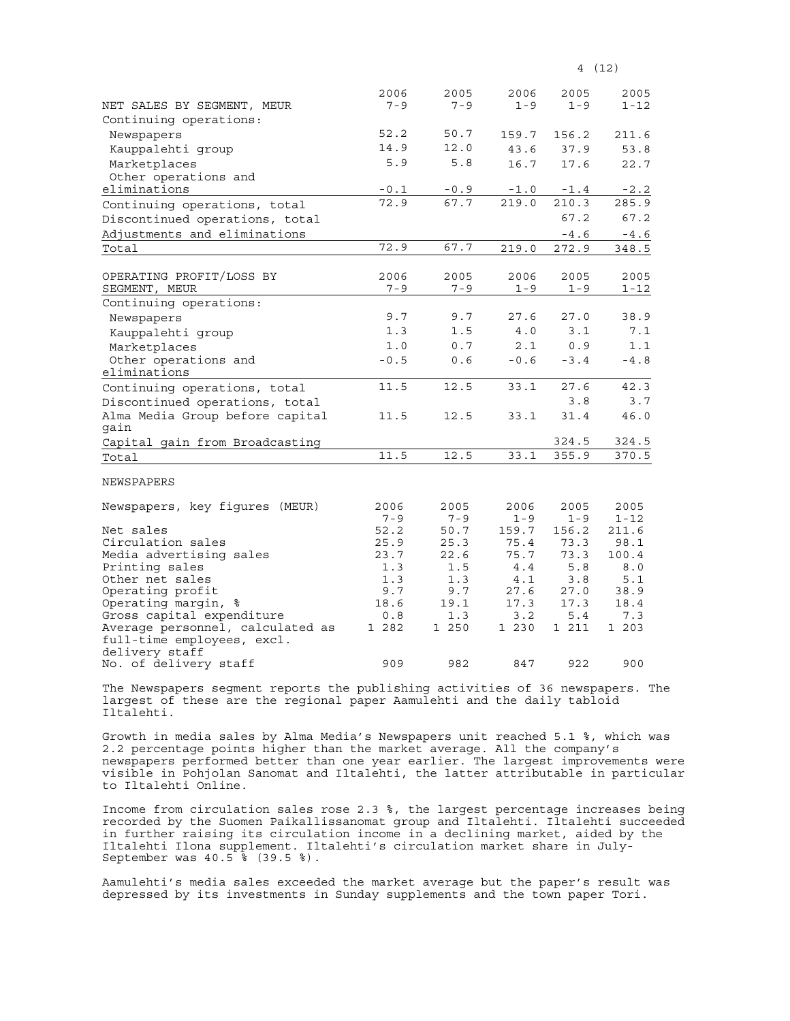|                                                               | 2006         | 2005         | 2006         | 2005         | 2005            |
|---------------------------------------------------------------|--------------|--------------|--------------|--------------|-----------------|
| NET SALES BY SEGMENT, MEUR                                    | $7 - 9$      | $7 - 9$      | $1 - 9$      | $1 - 9$      | 1-12            |
| Continuing operations:                                        |              |              |              |              |                 |
| Newspapers                                                    | 52.2         | 50.7         | 159.7        | 156.2        | 211.6           |
| Kauppalehti group                                             | 14.9         | 12.0         | 43.6         | 37.9         | 53.8            |
| Marketplaces                                                  | 5.9          | 5.8          | 16.7         | 17.6         | 22.7            |
| Other operations and                                          |              |              |              |              |                 |
| eliminations                                                  | $-0.1$       | $-0.9$       | $-1.0$       | $-1.4$       | $-2.2$          |
| Continuing operations, total                                  | 72.9         | 67.7         | 219.0        | 210.3        | 285.9           |
| Discontinued operations, total                                |              |              |              | 67.2         | 67.2            |
| Adjustments and eliminations                                  |              |              |              | $-4.6$       | $\texttt{-4.6}$ |
| Total                                                         | 72.9         | 67.7         | 219.0        | 272.9        | 348.5           |
|                                                               |              |              |              |              |                 |
| OPERATING PROFIT/LOSS BY                                      | 2006         | 2005         | 2006         | 2005         | 2005            |
| SEGMENT, MEUR                                                 | $7 - 9$      | $7 - 9$      | $1 - 9$      | $1 - 9$      | 1-12            |
| Continuing operations:                                        |              |              |              |              |                 |
| Newspapers                                                    | 9.7          | 9.7          | 27.6         | 27.0         | 38.9            |
| Kauppalehti group                                             | 1.3          | 1.5          | 4.0          | 3.1          | 7.1             |
| Marketplaces                                                  | 1.0          | 0.7          | 2.1          | 0.9          | 1.1             |
| Other operations and                                          | $-0.5$       | 0.6          | $-0.6$       | $-3.4$       | $-4.8$          |
| eliminations                                                  |              |              |              |              |                 |
| Continuing operations, total                                  | 11.5         | 12.5         | 33.1         | 27.6         | 42.3            |
| Discontinued operations, total                                |              |              |              | 3.8          | 3.7             |
| Alma Media Group before capital                               | 11.5         | 12.5         | 33.1         | 31.4         | 46.0            |
| qain                                                          |              |              |              |              |                 |
| Capital gain from Broadcasting                                |              |              |              | 324.5        | 324.5           |
| Total                                                         | 11.5         | 12.5         | 33.1         | 355.9        | 370.5           |
|                                                               |              |              |              |              |                 |
| <b>NEWSPAPERS</b>                                             |              |              |              |              |                 |
| Newspapers, key figures (MEUR)                                | 2006         | 2005         | 2006         | 2005         | 2005            |
|                                                               | $7 - 9$      | $7 - 9$      | $1 - 9$      | $1 - 9$      | $1 - 12$        |
| Net sales                                                     | 52.2         | 50.7         | 159.7        | 156.2        | 211.6           |
| Circulation sales                                             | 25.9         | 25.3         | 75.4         | 73.3         | 98.1            |
| Media advertising sales                                       | 23.7         | 22.6         | 75.7         | 73.3         | 100.4           |
| Printing sales                                                | 1.3          | 1.5          | 4.4          | 5.8          | 8.0             |
| Other net sales                                               | 1.3          | 1.3          | 4.1          | 3.8          | 5.1             |
| Operating profit                                              | 9.7          | 9.7          | 27.6         | 27.0         | 38.9            |
| Operating margin, %                                           | 18.6         | 19.1         | 17.3         | 17.3         | 18.4            |
| Gross capital expenditure<br>Average personnel, calculated as | 0.8<br>1 282 | 1.3<br>1 250 | 3.2<br>1 230 | 5.4<br>1 211 | 7.3<br>1 203    |
| full-time employees, excl.                                    |              |              |              |              |                 |
| delivery staff                                                |              |              |              |              |                 |
| No. of delivery staff                                         | 909          | 982          | 847          | 922          | 900             |

The Newspapers segment reports the publishing activities of 36 newspapers. The largest of these are the regional paper Aamulehti and the daily tabloid Iltalehti.

Growth in media sales by Alma Media's Newspapers unit reached 5.1 %, which was 2.2 percentage points higher than the market average. All the company's newspapers performed better than one year earlier. The largest improvements were visible in Pohjolan Sanomat and Iltalehti, the latter attributable in particular to Iltalehti Online.

Income from circulation sales rose 2.3 %, the largest percentage increases being recorded by the Suomen Paikallissanomat group and Iltalehti. Iltalehti succeeded in further raising its circulation income in a declining market, aided by the Iltalehti Ilona supplement. Iltalehti's circulation market share in July-September was 40.5 % (39.5 %).

Aamulehti's media sales exceeded the market average but the paper's result was depressed by its investments in Sunday supplements and the town paper Tori.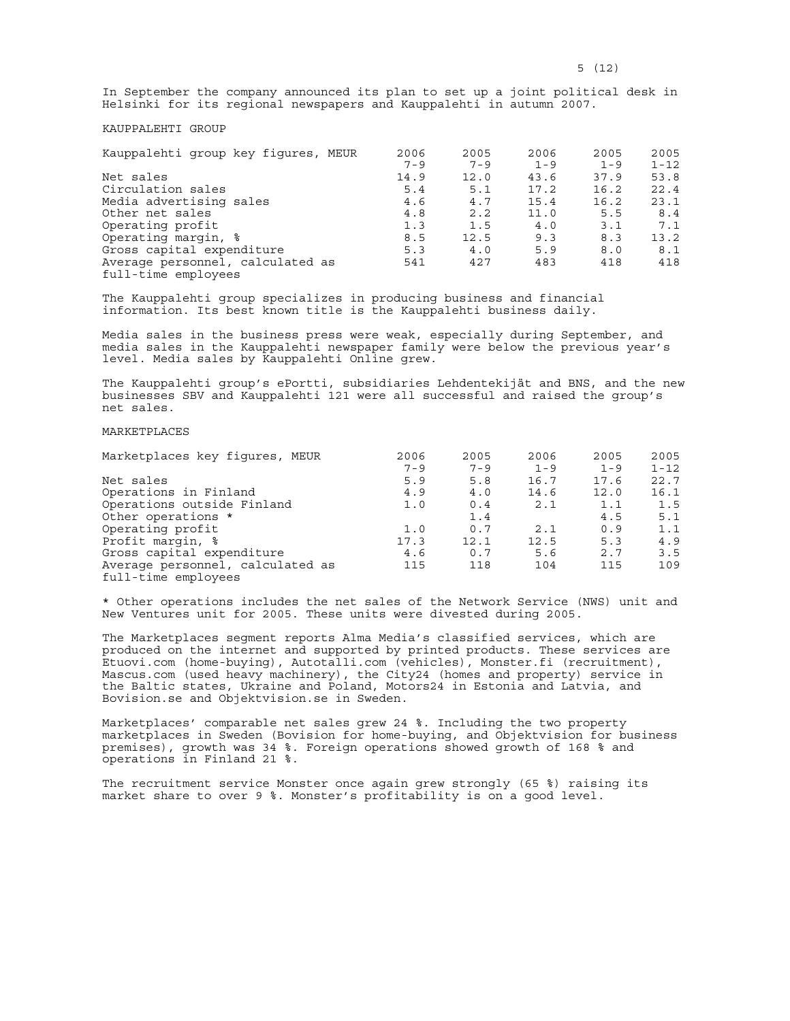In September the company announced its plan to set up a joint political desk in Helsinki for its regional newspapers and Kauppalehti in autumn 2007.

# KAUPPALEHTI GROUP

| Kauppalehti group key figures, MEUR                     | 2006    | 2005    | 2006    | 2005    | 2005     |
|---------------------------------------------------------|---------|---------|---------|---------|----------|
|                                                         | $7 - 9$ | $7 - 9$ | $1 - 9$ | $1 - 9$ | $1 - 12$ |
| Net sales                                               | 14.9    | 12.0    | 43.6    | 37.9    | 53.8     |
| Circulation sales                                       | 5.4     | 5.1     | 17.2    | 16.2    | 22.4     |
| Media advertising sales                                 | 4.6     | 4.7     | 15.4    | 16.2    | 23.1     |
| Other net sales                                         | 4.8     | 2.2     | 11.0    | 5.5     | 8.4      |
| Operating profit                                        | 1.3     | 1.5     | 4.0     | 3.1     | 7.1      |
| Operating margin, %                                     | 8.5     | 12.5    | 9.3     | 8.3     | 13.2     |
| Gross capital expenditure                               | 5.3     | 4.0     | 5.9     | 8.0     | 8.1      |
| Average personnel, calculated as<br>full-time employees | 541     | 427     | 483     | 418     | 418      |

The Kauppalehti group specializes in producing business and financial information. Its best known title is the Kauppalehti business daily.

Media sales in the business press were weak, especially during September, and media sales in the Kauppalehti newspaper family were below the previous year's level. Media sales by Kauppalehti Online grew.

The Kauppalehti group's ePortti, subsidiaries Lehdentekijät and BNS, and the new businesses SBV and Kauppalehti 121 were all successful and raised the group's net sales.

# MARKETPLACES

| Marketplaces key fiqures, MEUR   | 2006    | 2005    | 2006    | 2005    | 2005     |
|----------------------------------|---------|---------|---------|---------|----------|
|                                  | $7 - 9$ | $7 - 9$ | $1 - 9$ | $1 - 9$ | $1 - 12$ |
| Net sales                        | 5.9     | 5.8     | 16.7    | 17.6    | 22.7     |
| Operations in Finland            | 4.9     | 4.0     | 14.6    | 12.0    | 16.1     |
| Operations outside Finland       | 1.0     | 0.4     | 2.1     | 1.1     | 1.5      |
| Other operations *               |         | 1.4     |         | 4.5     | 5.1      |
| Operating profit                 | 1.0     | 0.7     | 2.1     | 0.9     | 1.1      |
| Profit margin, %                 | 17.3    | 12.1    | 12.5    | 5.3     | 4.9      |
| Gross capital expenditure        | 4.6     | 0.7     | 5.6     | 2.7     | 3.5      |
| Average personnel, calculated as | 115     | 118     | 104     | 115     | 109      |
| full-time employees              |         |         |         |         |          |

\* Other operations includes the net sales of the Network Service (NWS) unit and New Ventures unit for 2005. These units were divested during 2005.

The Marketplaces segment reports Alma Media's classified services, which are produced on the internet and supported by printed products. These services are Etuovi.com (home-buying), Autotalli.com (vehicles), Monster.fi (recruitment), Mascus.com (used heavy machinery), the City24 (homes and property) service in the Baltic states, Ukraine and Poland, Motors24 in Estonia and Latvia, and Bovision.se and Objektvision.se in Sweden.

Marketplaces' comparable net sales grew 24 %. Including the two property marketplaces in Sweden (Bovision for home-buying, and Objektvision for business premises), growth was 34 %. Foreign operations showed growth of 168 % and operations in Finland 21 %.

The recruitment service Monster once again grew strongly (65 %) raising its market share to over 9 %. Monster's profitability is on a good level.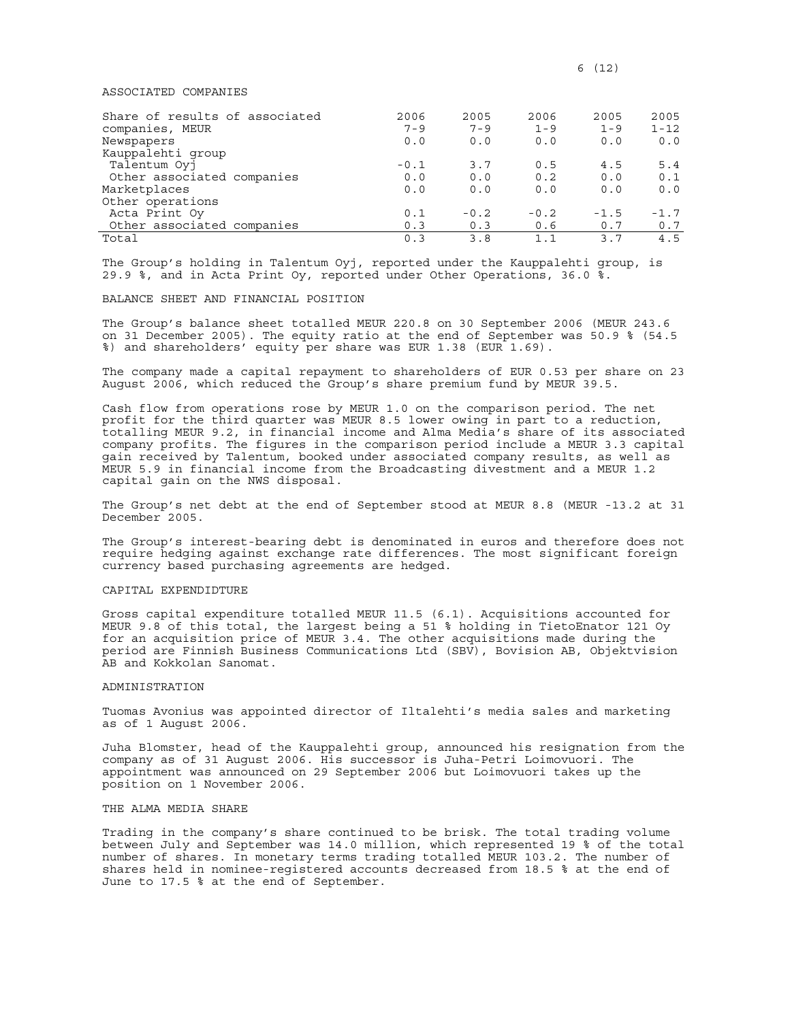### ASSOCIATED COMPANIES

| Share of results of associated | 2006    | 2005    | 2006        | 2005           | 2005     |
|--------------------------------|---------|---------|-------------|----------------|----------|
| companies, MEUR                | $7 - 9$ | $7 - 9$ | $1 - 9$     | $1 - 9$        | $1 - 12$ |
| Newspapers                     | 0.0     | 0.0     | 0.0         | 0.0            | 0.0      |
| Kauppalehti group              |         |         |             |                |          |
| Talentum Oyj                   | $-0.1$  | 3.7     | 0.5         | 4.5            | 5.4      |
| Other associated companies     | 0.0     | 0.0     | 0.2         | 0.0            | 0.1      |
| Marketplaces                   | 0.0     | 0.0     | 0.0         | 0.0            | 0.0      |
| Other operations               |         |         |             |                |          |
| Acta Print Oy                  | 0.1     | $-0.2$  | $-0.2$      | $-1.5$         | $-1.7$   |
| Other associated companies     | 0.3     | 0.3     | 0.6         | 0.7            | 0.7      |
| Total                          | 0.3     | 3.8     | $1 \quad 1$ | 3 <sub>7</sub> | 4.5      |

The Group's holding in Talentum Oyj, reported under the Kauppalehti group, is 29.9 %, and in Acta Print Oy, reported under Other Operations, 36.0 %.

### BALANCE SHEET AND FINANCIAL POSITION

The Group's balance sheet totalled MEUR 220.8 on 30 September 2006 (MEUR 243.6 on 31 December 2005). The equity ratio at the end of September was 50.9 % (54.5 %) and shareholders' equity per share was EUR 1.38 (EUR 1.69).

The company made a capital repayment to shareholders of EUR 0.53 per share on 23 August 2006, which reduced the Group's share premium fund by MEUR 39.5.

Cash flow from operations rose by MEUR 1.0 on the comparison period. The net profit for the third quarter was MEUR 8.5 lower owing in part to a reduction, totalling MEUR 9.2, in financial income and Alma Media's share of its associated company profits. The figures in the comparison period include a MEUR 3.3 capital gain received by Talentum, booked under associated company results, as well as MEUR 5.9 in financial income from the Broadcasting divestment and a MEUR 1.2 capital gain on the NWS disposal.

The Group's net debt at the end of September stood at MEUR 8.8 (MEUR -13.2 at 31 December 2005.

The Group's interest-bearing debt is denominated in euros and therefore does not require hedging against exchange rate differences. The most significant foreign currency based purchasing agreements are hedged.

# CAPITAL EXPENDIDTURE

Gross capital expenditure totalled MEUR 11.5 (6.1). Acquisitions accounted for MEUR 9.8 of this total, the largest being a 51 % holding in TietoEnator 121 Oy for an acquisition price of MEUR 3.4. The other acquisitions made during the period are Finnish Business Communications Ltd (SBV), Bovision AB, Objektvision AB and Kokkolan Sanomat.

#### ADMINISTRATION

Tuomas Avonius was appointed director of Iltalehti's media sales and marketing as of 1 August 2006.

Juha Blomster, head of the Kauppalehti group, announced his resignation from the company as of 31 August 2006. His successor is Juha-Petri Loimovuori. The appointment was announced on 29 September 2006 but Loimovuori takes up the position on 1 November 2006.

# THE ALMA MEDIA SHARE

Trading in the company's share continued to be brisk. The total trading volume between July and September was 14.0 million, which represented 19 % of the total number of shares. In monetary terms trading totalled MEUR 103.2. The number of shares held in nominee-registered accounts decreased from 18.5 % at the end of June to 17.5 % at the end of September.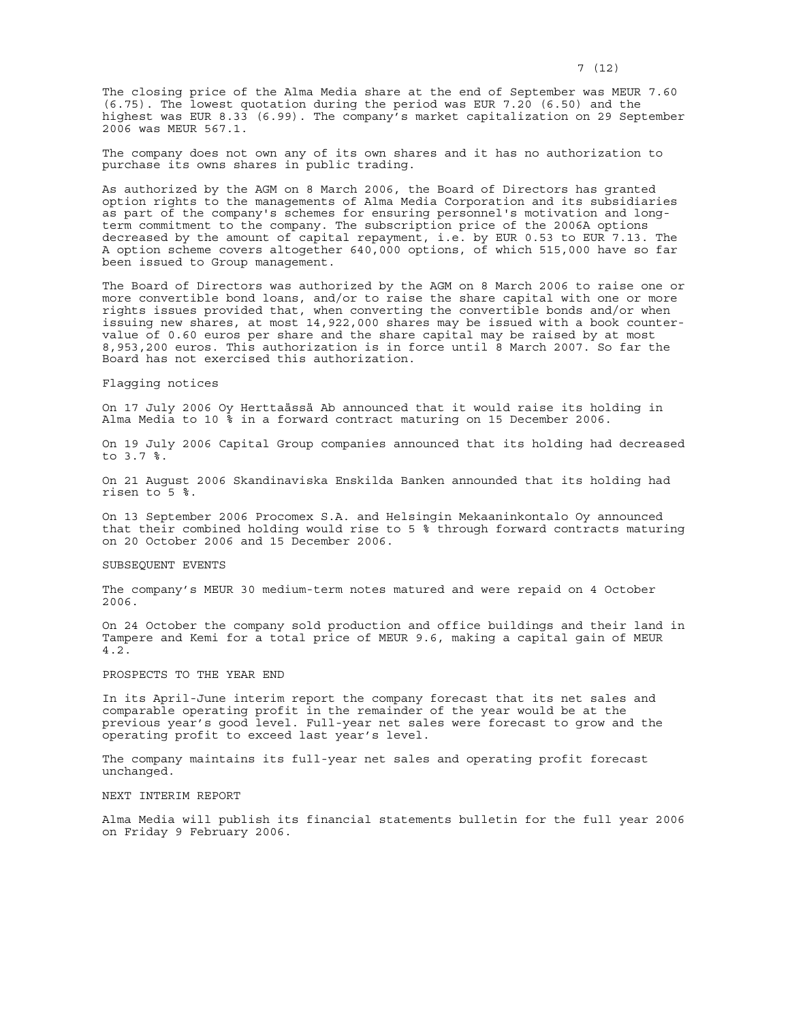The closing price of the Alma Media share at the end of September was MEUR 7.60 (6.75). The lowest quotation during the period was EUR 7.20 (6.50) and the highest was EUR 8.33 (6.99). The company's market capitalization on 29 September 2006 was MEUR 567.1.

The company does not own any of its own shares and it has no authorization to purchase its owns shares in public trading.

As authorized by the AGM on 8 March 2006, the Board of Directors has granted option rights to the managements of Alma Media Corporation and its subsidiaries as part of the company's schemes for ensuring personnel's motivation and longterm commitment to the company. The subscription price of the 2006A options decreased by the amount of capital repayment, i.e. by EUR 0.53 to EUR 7.13. The A option scheme covers altogether 640,000 options, of which 515,000 have so far been issued to Group management.

The Board of Directors was authorized by the AGM on 8 March 2006 to raise one or more convertible bond loans, and/or to raise the share capital with one or more rights issues provided that, when converting the convertible bonds and/or when issuing new shares, at most 14,922,000 shares may be issued with a book countervalue of 0.60 euros per share and the share capital may be raised by at most 8,953,200 euros. This authorization is in force until 8 March 2007. So far the Board has not exercised this authorization.

## Flagging notices

On 17 July 2006 Oy Herttaässä Ab announced that it would raise its holding in Alma Media to 10 % in a forward contract maturing on 15 December 2006.

On 19 July 2006 Capital Group companies announced that its holding had decreased to 3.7 %.

On 21 August 2006 Skandinaviska Enskilda Banken announded that its holding had risen to 5 %.

On 13 September 2006 Procomex S.A. and Helsingin Mekaaninkontalo Oy announced that their combined holding would rise to 5 % through forward contracts maturing on 20 October 2006 and 15 December 2006.

#### SUBSEQUENT EVENTS

The company's MEUR 30 medium-term notes matured and were repaid on 4 October 2006.

On 24 October the company sold production and office buildings and their land in Tampere and Kemi for a total price of MEUR 9.6, making a capital gain of MEUR 4.2.

## PROSPECTS TO THE YEAR END

In its April-June interim report the company forecast that its net sales and comparable operating profit in the remainder of the year would be at the previous year's good level. Full-year net sales were forecast to grow and the operating profit to exceed last year's level.

The company maintains its full-year net sales and operating profit forecast unchanged.

#### NEXT INTERIM REPORT

Alma Media will publish its financial statements bulletin for the full year 2006 on Friday 9 February 2006.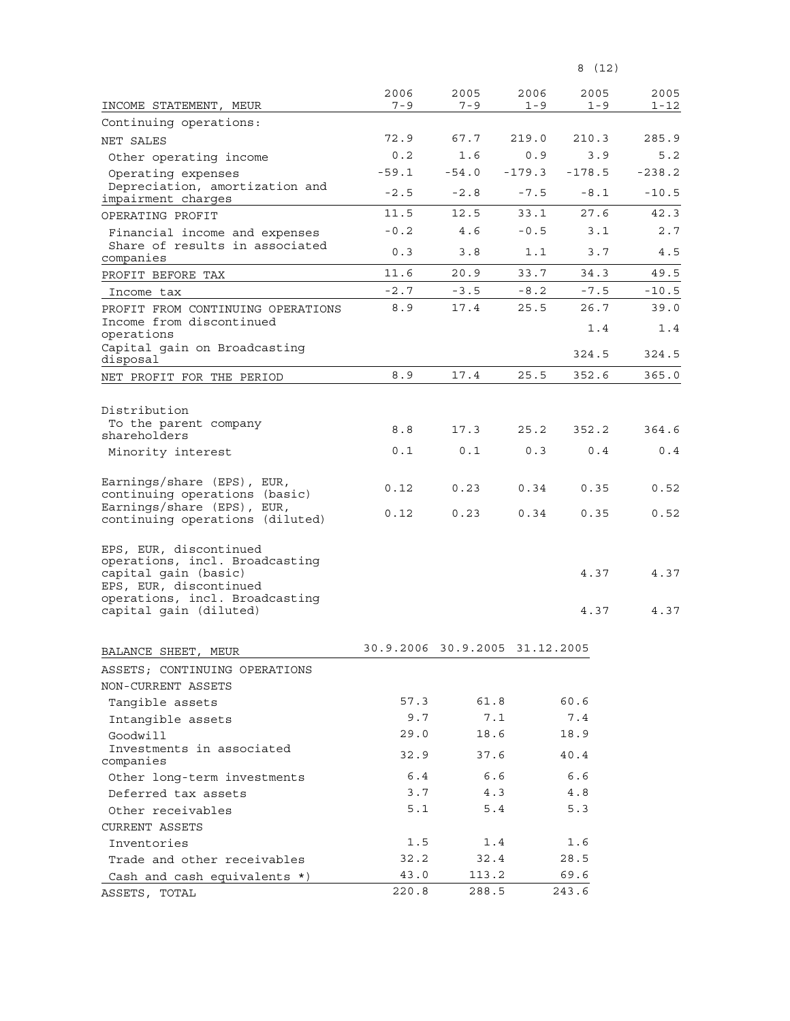| $7 - 9$<br>$7 - 9$<br>INCOME STATEMENT, MEUR<br>$1 - 9$<br>$1 - 9$<br>Continuing operations:<br>72.9<br>67.7<br>219.0<br>210.3<br>285.9<br>NET SALES<br>0.2<br>1.6<br>3.9<br>0.9<br>Other operating income<br>$-59.1$<br>$-54.0$<br>$-179.3$<br>$-178.5$<br>Operating expenses<br>Depreciation, amortization and<br>$-2.5$<br>$-10.5$<br>$-2.8$<br>$-7.5$<br>$-8.1$<br>impairment charges<br>11.5<br>12.5<br>33.1<br>27.6<br>OPERATING PROFIT<br>$-0.2$<br>4.6<br>$-0.5$<br>3.1<br>Financial income and expenses<br>Share of results in associated<br>0.3<br>4.5<br>3.8<br>1.1<br>3.7<br>companies<br>11.6<br>20.9<br>33.7<br>34.3<br>PROFIT BEFORE TAX<br>$-2.7$<br>$-3.5$<br>$-8.2$<br>$-7.5$<br>Income tax<br>8.9<br>25.5<br>26.7<br>17.4<br>PROFIT FROM CONTINUING OPERATIONS<br>Income from discontinued<br>1.4<br>1.4<br>operations<br>Capital gain on Broadcasting<br>324.5<br>disposal<br>8.9<br>17.4<br>25.5<br>352.6<br>NET PROFIT FOR THE PERIOD<br>Distribution<br>To the parent company<br>8.8<br>25.2<br>352.2<br>364.6<br>17.3<br>shareholders<br>0.1<br>0.1<br>0.3<br>0.4<br>0.4<br>Minority interest<br>Earnings/share (EPS), EUR,<br>0.23<br>0.35<br>0.12<br>0.34<br>continuing operations (basic)<br>Earnings/share (EPS), EUR,<br>0.12<br>0.23<br>0.34<br>0.35<br>continuing operations (diluted)<br>EPS, EUR, discontinued<br>operations, incl. Broadcasting<br>capital gain (basic)<br>4.37<br>EPS, EUR, discontinued<br>operations, incl. Broadcasting<br>capital gain (diluted)<br>4.37<br>30.9.2006 30.9.2005 31.12.2005<br>BALANCE SHEET,<br>MEUR<br>ASSETS; CONTINUING OPERATIONS<br>NON-CURRENT ASSETS<br>61.8<br>60.6<br>57.3<br>Tangible assets<br>9.7<br>7.1<br>7.4<br>Intangible assets<br>18.6<br>18.9<br>29.0<br>Goodwill<br>Investments in associated<br>32.9<br>37.6<br>40.4<br>companies<br>6.4<br>6.6<br>6.6<br>Other long-term investments<br>3.7<br>4.3<br>4.8<br>Deferred tax assets<br>5.1<br>5.4<br>5.3<br>Other receivables<br><b>CURRENT ASSETS</b><br>1.5<br>1.4<br>1.6<br>Inventories<br>32.2<br>32.4<br>28.5<br>Trade and other receivables<br>43.0<br>113.2<br>69.6<br>Cash and cash equivalents *) |               | 2006  | 2005  | 2006 | 2005  | 2005 |
|------------------------------------------------------------------------------------------------------------------------------------------------------------------------------------------------------------------------------------------------------------------------------------------------------------------------------------------------------------------------------------------------------------------------------------------------------------------------------------------------------------------------------------------------------------------------------------------------------------------------------------------------------------------------------------------------------------------------------------------------------------------------------------------------------------------------------------------------------------------------------------------------------------------------------------------------------------------------------------------------------------------------------------------------------------------------------------------------------------------------------------------------------------------------------------------------------------------------------------------------------------------------------------------------------------------------------------------------------------------------------------------------------------------------------------------------------------------------------------------------------------------------------------------------------------------------------------------------------------------------------------------------------------------------------------------------------------------------------------------------------------------------------------------------------------------------------------------------------------------------------------------------------------------------------------------------------------------------------------------------------------------------------------------------------------------------------------------------------------------------------------------------------|---------------|-------|-------|------|-------|------|
|                                                                                                                                                                                                                                                                                                                                                                                                                                                                                                                                                                                                                                                                                                                                                                                                                                                                                                                                                                                                                                                                                                                                                                                                                                                                                                                                                                                                                                                                                                                                                                                                                                                                                                                                                                                                                                                                                                                                                                                                                                                                                                                                                      |               |       |       |      |       | 1-12 |
| 5.2<br>$-238.2$<br>42.3<br>2.7<br>49.5<br>$-10.5$<br>39.0<br>324.5<br>365.0<br>0.52<br>0.52<br>4.37<br>4.37                                                                                                                                                                                                                                                                                                                                                                                                                                                                                                                                                                                                                                                                                                                                                                                                                                                                                                                                                                                                                                                                                                                                                                                                                                                                                                                                                                                                                                                                                                                                                                                                                                                                                                                                                                                                                                                                                                                                                                                                                                          |               |       |       |      |       |      |
|                                                                                                                                                                                                                                                                                                                                                                                                                                                                                                                                                                                                                                                                                                                                                                                                                                                                                                                                                                                                                                                                                                                                                                                                                                                                                                                                                                                                                                                                                                                                                                                                                                                                                                                                                                                                                                                                                                                                                                                                                                                                                                                                                      |               |       |       |      |       |      |
|                                                                                                                                                                                                                                                                                                                                                                                                                                                                                                                                                                                                                                                                                                                                                                                                                                                                                                                                                                                                                                                                                                                                                                                                                                                                                                                                                                                                                                                                                                                                                                                                                                                                                                                                                                                                                                                                                                                                                                                                                                                                                                                                                      |               |       |       |      |       |      |
|                                                                                                                                                                                                                                                                                                                                                                                                                                                                                                                                                                                                                                                                                                                                                                                                                                                                                                                                                                                                                                                                                                                                                                                                                                                                                                                                                                                                                                                                                                                                                                                                                                                                                                                                                                                                                                                                                                                                                                                                                                                                                                                                                      |               |       |       |      |       |      |
|                                                                                                                                                                                                                                                                                                                                                                                                                                                                                                                                                                                                                                                                                                                                                                                                                                                                                                                                                                                                                                                                                                                                                                                                                                                                                                                                                                                                                                                                                                                                                                                                                                                                                                                                                                                                                                                                                                                                                                                                                                                                                                                                                      |               |       |       |      |       |      |
|                                                                                                                                                                                                                                                                                                                                                                                                                                                                                                                                                                                                                                                                                                                                                                                                                                                                                                                                                                                                                                                                                                                                                                                                                                                                                                                                                                                                                                                                                                                                                                                                                                                                                                                                                                                                                                                                                                                                                                                                                                                                                                                                                      |               |       |       |      |       |      |
|                                                                                                                                                                                                                                                                                                                                                                                                                                                                                                                                                                                                                                                                                                                                                                                                                                                                                                                                                                                                                                                                                                                                                                                                                                                                                                                                                                                                                                                                                                                                                                                                                                                                                                                                                                                                                                                                                                                                                                                                                                                                                                                                                      |               |       |       |      |       |      |
|                                                                                                                                                                                                                                                                                                                                                                                                                                                                                                                                                                                                                                                                                                                                                                                                                                                                                                                                                                                                                                                                                                                                                                                                                                                                                                                                                                                                                                                                                                                                                                                                                                                                                                                                                                                                                                                                                                                                                                                                                                                                                                                                                      |               |       |       |      |       |      |
|                                                                                                                                                                                                                                                                                                                                                                                                                                                                                                                                                                                                                                                                                                                                                                                                                                                                                                                                                                                                                                                                                                                                                                                                                                                                                                                                                                                                                                                                                                                                                                                                                                                                                                                                                                                                                                                                                                                                                                                                                                                                                                                                                      |               |       |       |      |       |      |
|                                                                                                                                                                                                                                                                                                                                                                                                                                                                                                                                                                                                                                                                                                                                                                                                                                                                                                                                                                                                                                                                                                                                                                                                                                                                                                                                                                                                                                                                                                                                                                                                                                                                                                                                                                                                                                                                                                                                                                                                                                                                                                                                                      |               |       |       |      |       |      |
|                                                                                                                                                                                                                                                                                                                                                                                                                                                                                                                                                                                                                                                                                                                                                                                                                                                                                                                                                                                                                                                                                                                                                                                                                                                                                                                                                                                                                                                                                                                                                                                                                                                                                                                                                                                                                                                                                                                                                                                                                                                                                                                                                      |               |       |       |      |       |      |
|                                                                                                                                                                                                                                                                                                                                                                                                                                                                                                                                                                                                                                                                                                                                                                                                                                                                                                                                                                                                                                                                                                                                                                                                                                                                                                                                                                                                                                                                                                                                                                                                                                                                                                                                                                                                                                                                                                                                                                                                                                                                                                                                                      |               |       |       |      |       |      |
|                                                                                                                                                                                                                                                                                                                                                                                                                                                                                                                                                                                                                                                                                                                                                                                                                                                                                                                                                                                                                                                                                                                                                                                                                                                                                                                                                                                                                                                                                                                                                                                                                                                                                                                                                                                                                                                                                                                                                                                                                                                                                                                                                      |               |       |       |      |       |      |
|                                                                                                                                                                                                                                                                                                                                                                                                                                                                                                                                                                                                                                                                                                                                                                                                                                                                                                                                                                                                                                                                                                                                                                                                                                                                                                                                                                                                                                                                                                                                                                                                                                                                                                                                                                                                                                                                                                                                                                                                                                                                                                                                                      |               |       |       |      |       |      |
|                                                                                                                                                                                                                                                                                                                                                                                                                                                                                                                                                                                                                                                                                                                                                                                                                                                                                                                                                                                                                                                                                                                                                                                                                                                                                                                                                                                                                                                                                                                                                                                                                                                                                                                                                                                                                                                                                                                                                                                                                                                                                                                                                      |               |       |       |      |       |      |
|                                                                                                                                                                                                                                                                                                                                                                                                                                                                                                                                                                                                                                                                                                                                                                                                                                                                                                                                                                                                                                                                                                                                                                                                                                                                                                                                                                                                                                                                                                                                                                                                                                                                                                                                                                                                                                                                                                                                                                                                                                                                                                                                                      |               |       |       |      |       |      |
|                                                                                                                                                                                                                                                                                                                                                                                                                                                                                                                                                                                                                                                                                                                                                                                                                                                                                                                                                                                                                                                                                                                                                                                                                                                                                                                                                                                                                                                                                                                                                                                                                                                                                                                                                                                                                                                                                                                                                                                                                                                                                                                                                      |               |       |       |      |       |      |
|                                                                                                                                                                                                                                                                                                                                                                                                                                                                                                                                                                                                                                                                                                                                                                                                                                                                                                                                                                                                                                                                                                                                                                                                                                                                                                                                                                                                                                                                                                                                                                                                                                                                                                                                                                                                                                                                                                                                                                                                                                                                                                                                                      |               |       |       |      |       |      |
|                                                                                                                                                                                                                                                                                                                                                                                                                                                                                                                                                                                                                                                                                                                                                                                                                                                                                                                                                                                                                                                                                                                                                                                                                                                                                                                                                                                                                                                                                                                                                                                                                                                                                                                                                                                                                                                                                                                                                                                                                                                                                                                                                      |               |       |       |      |       |      |
|                                                                                                                                                                                                                                                                                                                                                                                                                                                                                                                                                                                                                                                                                                                                                                                                                                                                                                                                                                                                                                                                                                                                                                                                                                                                                                                                                                                                                                                                                                                                                                                                                                                                                                                                                                                                                                                                                                                                                                                                                                                                                                                                                      |               |       |       |      |       |      |
|                                                                                                                                                                                                                                                                                                                                                                                                                                                                                                                                                                                                                                                                                                                                                                                                                                                                                                                                                                                                                                                                                                                                                                                                                                                                                                                                                                                                                                                                                                                                                                                                                                                                                                                                                                                                                                                                                                                                                                                                                                                                                                                                                      |               |       |       |      |       |      |
|                                                                                                                                                                                                                                                                                                                                                                                                                                                                                                                                                                                                                                                                                                                                                                                                                                                                                                                                                                                                                                                                                                                                                                                                                                                                                                                                                                                                                                                                                                                                                                                                                                                                                                                                                                                                                                                                                                                                                                                                                                                                                                                                                      |               |       |       |      |       |      |
|                                                                                                                                                                                                                                                                                                                                                                                                                                                                                                                                                                                                                                                                                                                                                                                                                                                                                                                                                                                                                                                                                                                                                                                                                                                                                                                                                                                                                                                                                                                                                                                                                                                                                                                                                                                                                                                                                                                                                                                                                                                                                                                                                      |               |       |       |      |       |      |
|                                                                                                                                                                                                                                                                                                                                                                                                                                                                                                                                                                                                                                                                                                                                                                                                                                                                                                                                                                                                                                                                                                                                                                                                                                                                                                                                                                                                                                                                                                                                                                                                                                                                                                                                                                                                                                                                                                                                                                                                                                                                                                                                                      |               |       |       |      |       |      |
|                                                                                                                                                                                                                                                                                                                                                                                                                                                                                                                                                                                                                                                                                                                                                                                                                                                                                                                                                                                                                                                                                                                                                                                                                                                                                                                                                                                                                                                                                                                                                                                                                                                                                                                                                                                                                                                                                                                                                                                                                                                                                                                                                      |               |       |       |      |       |      |
|                                                                                                                                                                                                                                                                                                                                                                                                                                                                                                                                                                                                                                                                                                                                                                                                                                                                                                                                                                                                                                                                                                                                                                                                                                                                                                                                                                                                                                                                                                                                                                                                                                                                                                                                                                                                                                                                                                                                                                                                                                                                                                                                                      |               |       |       |      |       |      |
|                                                                                                                                                                                                                                                                                                                                                                                                                                                                                                                                                                                                                                                                                                                                                                                                                                                                                                                                                                                                                                                                                                                                                                                                                                                                                                                                                                                                                                                                                                                                                                                                                                                                                                                                                                                                                                                                                                                                                                                                                                                                                                                                                      |               |       |       |      |       |      |
|                                                                                                                                                                                                                                                                                                                                                                                                                                                                                                                                                                                                                                                                                                                                                                                                                                                                                                                                                                                                                                                                                                                                                                                                                                                                                                                                                                                                                                                                                                                                                                                                                                                                                                                                                                                                                                                                                                                                                                                                                                                                                                                                                      |               |       |       |      |       |      |
|                                                                                                                                                                                                                                                                                                                                                                                                                                                                                                                                                                                                                                                                                                                                                                                                                                                                                                                                                                                                                                                                                                                                                                                                                                                                                                                                                                                                                                                                                                                                                                                                                                                                                                                                                                                                                                                                                                                                                                                                                                                                                                                                                      |               |       |       |      |       |      |
|                                                                                                                                                                                                                                                                                                                                                                                                                                                                                                                                                                                                                                                                                                                                                                                                                                                                                                                                                                                                                                                                                                                                                                                                                                                                                                                                                                                                                                                                                                                                                                                                                                                                                                                                                                                                                                                                                                                                                                                                                                                                                                                                                      |               |       |       |      |       |      |
|                                                                                                                                                                                                                                                                                                                                                                                                                                                                                                                                                                                                                                                                                                                                                                                                                                                                                                                                                                                                                                                                                                                                                                                                                                                                                                                                                                                                                                                                                                                                                                                                                                                                                                                                                                                                                                                                                                                                                                                                                                                                                                                                                      |               |       |       |      |       |      |
|                                                                                                                                                                                                                                                                                                                                                                                                                                                                                                                                                                                                                                                                                                                                                                                                                                                                                                                                                                                                                                                                                                                                                                                                                                                                                                                                                                                                                                                                                                                                                                                                                                                                                                                                                                                                                                                                                                                                                                                                                                                                                                                                                      |               |       |       |      |       |      |
|                                                                                                                                                                                                                                                                                                                                                                                                                                                                                                                                                                                                                                                                                                                                                                                                                                                                                                                                                                                                                                                                                                                                                                                                                                                                                                                                                                                                                                                                                                                                                                                                                                                                                                                                                                                                                                                                                                                                                                                                                                                                                                                                                      |               |       |       |      |       |      |
|                                                                                                                                                                                                                                                                                                                                                                                                                                                                                                                                                                                                                                                                                                                                                                                                                                                                                                                                                                                                                                                                                                                                                                                                                                                                                                                                                                                                                                                                                                                                                                                                                                                                                                                                                                                                                                                                                                                                                                                                                                                                                                                                                      |               |       |       |      |       |      |
|                                                                                                                                                                                                                                                                                                                                                                                                                                                                                                                                                                                                                                                                                                                                                                                                                                                                                                                                                                                                                                                                                                                                                                                                                                                                                                                                                                                                                                                                                                                                                                                                                                                                                                                                                                                                                                                                                                                                                                                                                                                                                                                                                      |               |       |       |      |       |      |
|                                                                                                                                                                                                                                                                                                                                                                                                                                                                                                                                                                                                                                                                                                                                                                                                                                                                                                                                                                                                                                                                                                                                                                                                                                                                                                                                                                                                                                                                                                                                                                                                                                                                                                                                                                                                                                                                                                                                                                                                                                                                                                                                                      |               |       |       |      |       |      |
|                                                                                                                                                                                                                                                                                                                                                                                                                                                                                                                                                                                                                                                                                                                                                                                                                                                                                                                                                                                                                                                                                                                                                                                                                                                                                                                                                                                                                                                                                                                                                                                                                                                                                                                                                                                                                                                                                                                                                                                                                                                                                                                                                      |               |       |       |      |       |      |
|                                                                                                                                                                                                                                                                                                                                                                                                                                                                                                                                                                                                                                                                                                                                                                                                                                                                                                                                                                                                                                                                                                                                                                                                                                                                                                                                                                                                                                                                                                                                                                                                                                                                                                                                                                                                                                                                                                                                                                                                                                                                                                                                                      |               |       |       |      |       |      |
|                                                                                                                                                                                                                                                                                                                                                                                                                                                                                                                                                                                                                                                                                                                                                                                                                                                                                                                                                                                                                                                                                                                                                                                                                                                                                                                                                                                                                                                                                                                                                                                                                                                                                                                                                                                                                                                                                                                                                                                                                                                                                                                                                      |               |       |       |      |       |      |
|                                                                                                                                                                                                                                                                                                                                                                                                                                                                                                                                                                                                                                                                                                                                                                                                                                                                                                                                                                                                                                                                                                                                                                                                                                                                                                                                                                                                                                                                                                                                                                                                                                                                                                                                                                                                                                                                                                                                                                                                                                                                                                                                                      |               |       |       |      |       |      |
|                                                                                                                                                                                                                                                                                                                                                                                                                                                                                                                                                                                                                                                                                                                                                                                                                                                                                                                                                                                                                                                                                                                                                                                                                                                                                                                                                                                                                                                                                                                                                                                                                                                                                                                                                                                                                                                                                                                                                                                                                                                                                                                                                      |               |       |       |      |       |      |
|                                                                                                                                                                                                                                                                                                                                                                                                                                                                                                                                                                                                                                                                                                                                                                                                                                                                                                                                                                                                                                                                                                                                                                                                                                                                                                                                                                                                                                                                                                                                                                                                                                                                                                                                                                                                                                                                                                                                                                                                                                                                                                                                                      |               |       |       |      |       |      |
|                                                                                                                                                                                                                                                                                                                                                                                                                                                                                                                                                                                                                                                                                                                                                                                                                                                                                                                                                                                                                                                                                                                                                                                                                                                                                                                                                                                                                                                                                                                                                                                                                                                                                                                                                                                                                                                                                                                                                                                                                                                                                                                                                      | ASSETS, TOTAL | 220.8 | 288.5 |      | 243.6 |      |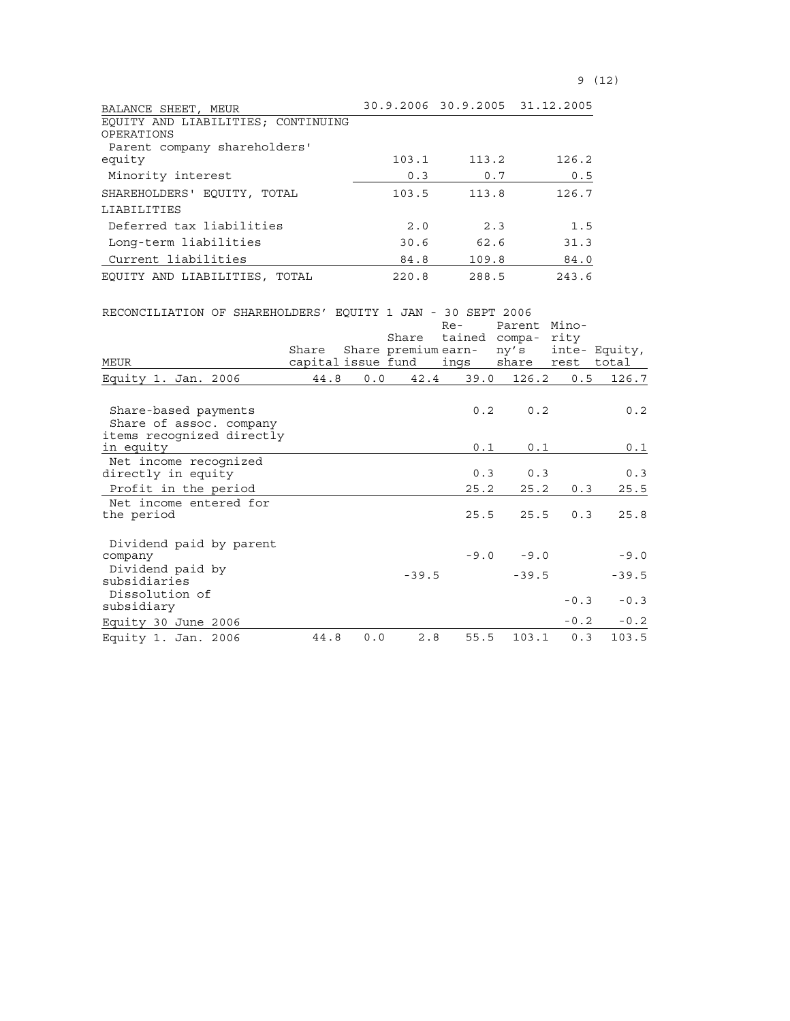| BALANCE SHEET, MEUR                |       |       | 30.9.2006 30.9.2005 31.12.2005 |
|------------------------------------|-------|-------|--------------------------------|
| EQUITY AND LIABILITIES; CONTINUING |       |       |                                |
| OPERATIONS                         |       |       |                                |
| Parent company shareholders'       |       |       |                                |
| equity                             | 103.1 | 113.2 | 126.2                          |
| Minority interest                  | 0.3   | 0.7   | 0.5                            |
| SHAREHOLDERS' EOUITY, TOTAL        | 103.5 | 113.8 | 126.7                          |
| LIABILITIES                        |       |       |                                |
| Deferred tax liabilities           | 2.0   | 2.3   | 1.5                            |
| Long-term liabilities              | 30.6  | 62.6  | 31.3                           |
| Current liabilities                | 84.8  | 109.8 | 84.0                           |
| EQUITY AND LIABILITIES, TOTAL      | 220.8 | 288.5 | 243.6                          |

| RECONCILIATION OF SHAREHOLDERS' EQUITY 1 JAN - 30 SEPT 2006 |       |     |                    |                               |                |            |               |
|-------------------------------------------------------------|-------|-----|--------------------|-------------------------------|----------------|------------|---------------|
|                                                             |       |     |                    | $Re-$                         | Parent         | Mino-      |               |
|                                                             | Share |     | Share              | tained<br>Share premium earn- | compa-<br>ny's | rity       | inte- Equity, |
| <b>MEUR</b>                                                 |       |     | capital issue fund | ings                          | share          | rest total |               |
| Equity 1. Jan. 2006                                         | 44.8  | 0.0 | 42.4               | 39.0                          | 126.2          | 0.5        | 126.7         |
|                                                             |       |     |                    |                               |                |            |               |
| Share-based payments                                        |       |     |                    | 0.2                           | 0.2            |            | 0.2           |
| Share of assoc. company                                     |       |     |                    |                               |                |            |               |
| items recognized directly                                   |       |     |                    |                               |                |            |               |
| in equity                                                   |       |     |                    | 0.1                           | 0.1            |            | 0.1           |
| Net income recognized<br>directly in equity                 |       |     |                    | 0.3                           | 0.3            |            | 0.3           |
| Profit in the period                                        |       |     |                    | 25.2                          | 25.2           | 0.3        | 25.5          |
| Net income entered for                                      |       |     |                    |                               |                |            |               |
| the period                                                  |       |     |                    | 25.5                          | 25.5           | 0.3        | 25.8          |
|                                                             |       |     |                    |                               |                |            |               |
| Dividend paid by parent                                     |       |     |                    |                               |                |            |               |
| company                                                     |       |     |                    | $-9.0$                        | $-9.0$         |            | $-9.0$        |
| Dividend paid by<br>subsidiaries                            |       |     | $-39.5$            |                               | $-39.5$        |            | $-39.5$       |
| Dissolution of                                              |       |     |                    |                               |                |            |               |
| subsidiary                                                  |       |     |                    |                               |                | $-0.3$     | $-0.3$        |
| Equity 30 June 2006                                         |       |     |                    |                               |                | $-0.2$     | $-0.2$        |
| Equity 1. Jan. 2006                                         | 44.8  | 0.0 | 2.8                | 55.5                          | 103.1          | 0.3        | 103.5         |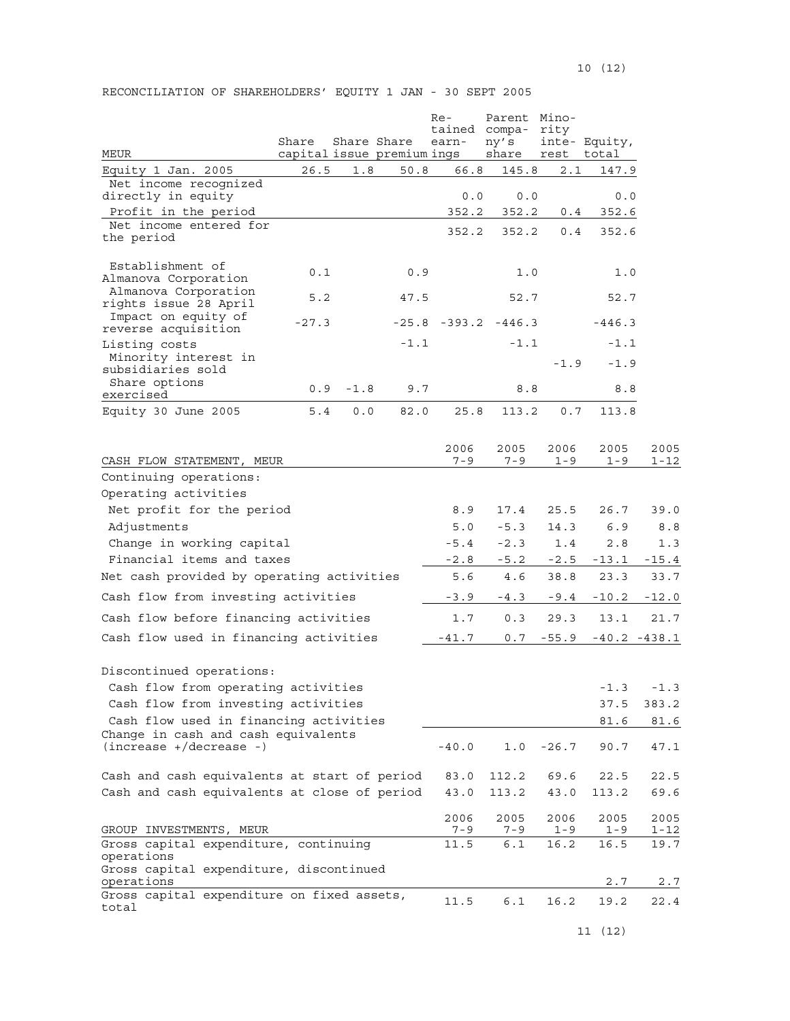| MEUR                                                                                                       | Share<br>capital issue premium ings | Share Share |        | Re-<br>tained<br>earn- | Parent Mino-<br>compa-<br>ny's<br>share | rity<br>rest    | inte- Equity,<br>total |                  |
|------------------------------------------------------------------------------------------------------------|-------------------------------------|-------------|--------|------------------------|-----------------------------------------|-----------------|------------------------|------------------|
| Equity 1 Jan. 2005                                                                                         | 26.5                                | 1.8         | 50.8   | 66.8                   | 145.8                                   | 2.1             | 147.9                  |                  |
| Net income recognized                                                                                      |                                     |             |        |                        |                                         |                 |                        |                  |
| directly in equity<br>Profit in the period                                                                 |                                     |             |        | 0.0<br>352.2           | 0.0<br>352.2                            | 0.4             | 0.0<br>352.6           |                  |
| Net income entered for<br>the period                                                                       |                                     |             |        | 352.2                  | 352.2                                   | 0.4             | 352.6                  |                  |
| Establishment of<br>Almanova Corporation                                                                   | 0.1                                 |             | 0.9    |                        | 1.0                                     |                 | 1.0                    |                  |
| Almanova Corporation<br>rights issue 28 April                                                              | 5.2                                 |             | 47.5   |                        | 52.7                                    |                 | 52.7                   |                  |
| Impact on equity of<br>reverse acquisition                                                                 | $-27.3$                             |             |        |                        | $-25.8$ $-393.2$ $-446.3$               |                 | $-446.3$               |                  |
| Listing costs<br>Minority interest in<br>subsidiaries sold                                                 |                                     |             | $-1.1$ |                        | $-1.1$                                  | $-1.9$          | $-1.1$<br>$-1.9$       |                  |
| Share options<br>exercised                                                                                 | 0.9                                 | $-1.8$      | 9.7    |                        | 8.8                                     |                 | 8.8                    |                  |
| Equity 30 June 2005                                                                                        | 5.4                                 | 0.0         | 82.0   | 25.8                   | 113.2                                   | 0.7             | 113.8                  |                  |
| CASH FLOW STATEMENT, MEUR                                                                                  |                                     |             |        | 2006<br>$7 - 9$        | 2005<br>$7 - 9$                         | 2006<br>$1 - 9$ | 2005<br>$1 - 9$        | 2005<br>1-12     |
| Continuing operations:                                                                                     |                                     |             |        |                        |                                         |                 |                        |                  |
| Operating activities                                                                                       |                                     |             |        |                        |                                         |                 |                        |                  |
| Net profit for the period                                                                                  |                                     |             |        | 8.9                    | 17.4                                    | 25.5            | 26.7                   | 39.0             |
| Adjustments                                                                                                |                                     |             |        | 5.0                    | $-5.3$                                  | 14.3            | 6.9                    | 8.8              |
| Change in working capital                                                                                  |                                     |             |        | $-5.4$                 | $-2.3$                                  | 1.4             | 2.8                    | 1.3              |
| Financial items and taxes                                                                                  |                                     |             |        | $-2.8$                 | $-5.2$                                  | $-2.5$          | $-13.1$                | $-15.4$          |
| Net cash provided by operating activities                                                                  |                                     |             |        | 5.6                    | 4.6                                     | 38.8            | 23.3                   | 33.7             |
| Cash flow from investing activities                                                                        |                                     |             |        | $-3.9$                 | $-4.3$                                  | $-9.4$          | $-10.2$                | $-12.0$          |
| Cash flow before financing activities                                                                      |                                     |             |        | 1.7                    | 0.3                                     | 29.3            | 13.1                   | 21.7             |
| Cash flow used in financing activities                                                                     |                                     |             |        | $-41.7$                | 0.7                                     | $-55.9$         |                        | $-40.2 - 438.1$  |
| Discontinued operations:                                                                                   |                                     |             |        |                        |                                         |                 |                        |                  |
| Cash flow from operating activities                                                                        |                                     |             |        |                        |                                         |                 | $-1.3$                 | $-1.3$           |
| Cash flow from investing activities                                                                        |                                     |             |        |                        |                                         |                 | 37.5                   | 383.2            |
| Cash flow used in financing activities<br>Change in cash and cash equivalents<br>$(increase +/decrease -)$ |                                     |             |        | $-40.0$                | 1.0                                     | $-26.7$         | 81.6<br>90.7           | 81.6<br>47.1     |
|                                                                                                            |                                     |             |        |                        |                                         |                 |                        |                  |
| Cash and cash equivalents at start of period                                                               |                                     |             |        | 83.0                   | 112.2                                   | 69.6            | 22.5                   | 22.5             |
| Cash and cash equivalents at close of period                                                               |                                     |             |        | 43.0                   | 113.2                                   | 43.0            | 113.2                  | 69.6             |
| GROUP INVESTMENTS, MEUR                                                                                    |                                     |             |        | 2006<br>7 – 9          | 2005<br>7 – 9                           | 2006<br>$1 - 9$ | 2005<br>1-9            | 2005<br>$1 - 12$ |
| Gross capital expenditure, continuing<br>operations                                                        |                                     |             |        | 11.5                   | 6.1                                     | 16.2            | 16.5                   | 19.7             |
| Gross capital expenditure, discontinued<br>operations                                                      |                                     |             |        |                        |                                         |                 | 2.7                    | 2.7              |
| Gross capital expenditure on fixed assets,<br>total                                                        |                                     |             |        | 11.5                   | 6.1                                     | 16.2            | 19.2                   | 22.4             |

RECONCILIATION OF SHAREHOLDERS' EQUITY 1 JAN - 30 SEPT 2005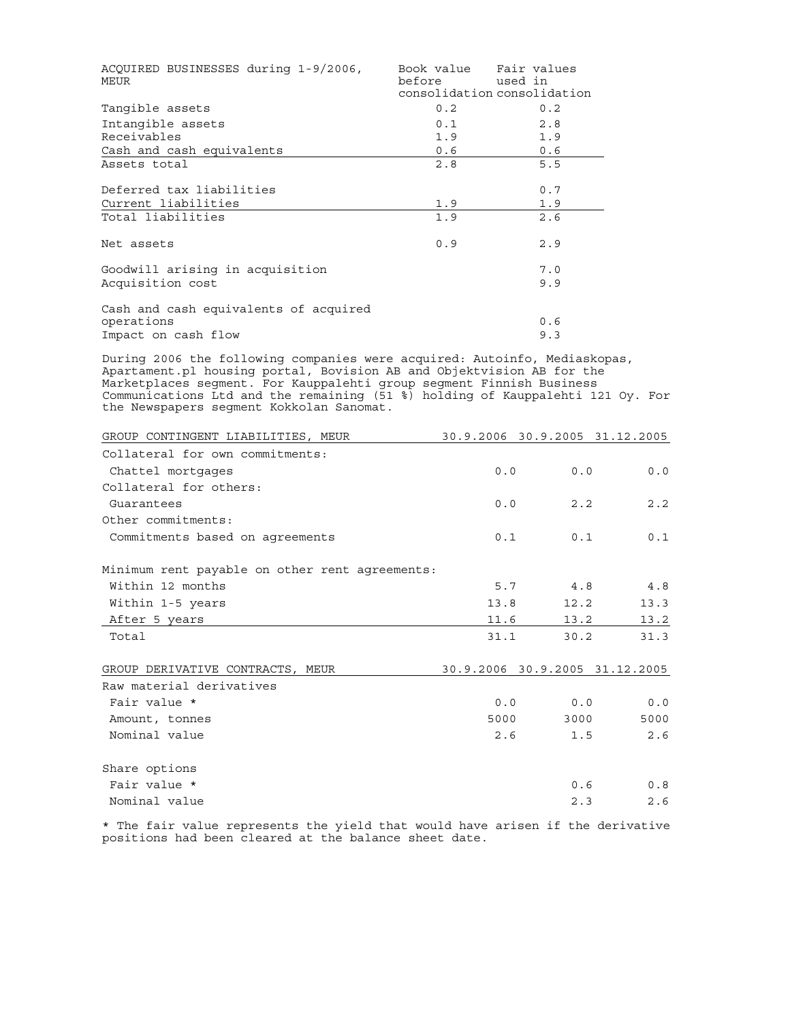| ACQUIRED BUSINESSES during 1-9/2006,<br>MEUR | before | Book value Fair values<br>used in<br>consolidation consolidation |
|----------------------------------------------|--------|------------------------------------------------------------------|
| Tangible assets                              | 0.2    | 0.2                                                              |
| Intangible assets                            | 0.1    | 2.8                                                              |
| Receivables                                  | 1.9    | 1.9                                                              |
| Cash and cash equivalents                    | 0.6    | 0.6                                                              |
| Assets total                                 | 2.8    | 5.5                                                              |
| Deferred tax liabilities                     |        | 0.7                                                              |
| Current liabilities                          | 1.9    | 1.9                                                              |
| Total liabilities                            | 1.9    | 2.6                                                              |
| Net assets                                   | 0.9    | 2.9                                                              |
| Goodwill arising in acquisition              |        | 7.0                                                              |
| Acquisition cost                             |        | 9.9                                                              |
| Cash and cash equivalents of acquired        |        |                                                                  |
| operations                                   |        | 0.6                                                              |
| Impact on cash flow                          |        | 9.3                                                              |

During 2006 the following companies were acquired: Autoinfo, Mediaskopas, Apartament.pl housing portal, Bovision AB and Objektvision AB for the Marketplaces segment. For Kauppalehti group segment Finnish Business Communications Ltd and the remaining (51 %) holding of Kauppalehti 121 Oy. For the Newspapers segment Kokkolan Sanomat.

| GROUP CONTINGENT LIABILITIES, MEUR             |      |      | 30.9.2006 30.9.2005 31.12.2005 |
|------------------------------------------------|------|------|--------------------------------|
| Collateral for own commitments:                |      |      |                                |
| Chattel mortgages                              | 0.0  | 0.0  | 0.0                            |
| Collateral for others:                         |      |      |                                |
| Guarantees                                     | 0.0  | 2.2  | 2.2                            |
| Other commitments:                             |      |      |                                |
| Commitments based on agreements                | 0.1  | 0.1  | 0.1                            |
| Minimum rent payable on other rent agreements: |      |      |                                |
| Within 12 months                               | 5.7  | 4.8  | 4.8                            |
| Within 1-5 years                               | 13.8 | 12.2 | 13.3                           |
| After 5 years                                  | 11.6 | 13.2 | 13.2                           |
| Total                                          | 31.1 | 30.2 | 31.3                           |
| GROUP DERIVATIVE CONTRACTS, MEUR               |      |      | 30.9.2006 30.9.2005 31.12.2005 |
| Raw material derivatives                       |      |      |                                |
| Fair value *                                   | 0.0  | 0.0  | 0.0                            |
| Amount, tonnes                                 | 5000 | 3000 | 5000                           |
| Nominal value                                  | 2.6  | 1.5  | 2.6                            |
| Share options                                  |      |      |                                |
| Fair value *                                   |      | 0.6  | 0.8                            |
| Nominal value                                  |      | 2.3  | 2.6                            |

\* The fair value represents the yield that would have arisen if the derivative positions had been cleared at the balance sheet date.